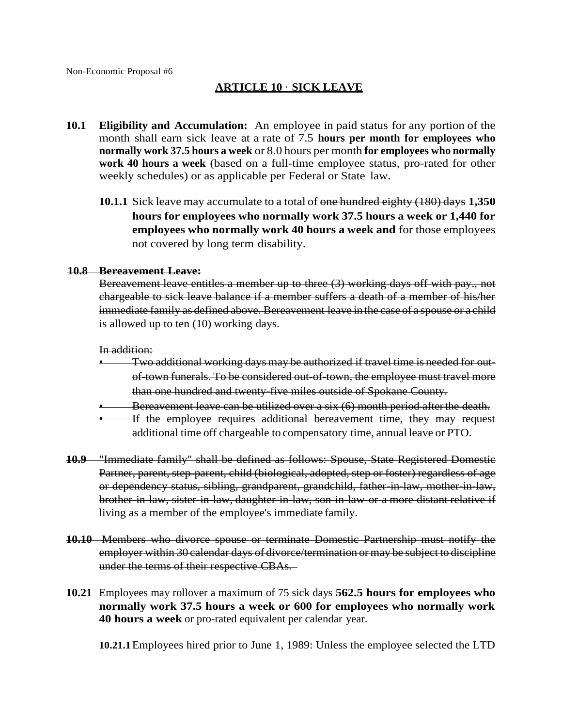# **ARTICLE 10** · **SICK LEAVE**

- **10.1 Eligibility and Accumulation:** An employee in paid status for any portion of the month shall earn sick leave at a rate of 7.5 **hours per month for employees who normally work 37.5 hours a week** or 8.0 hours per month **for employees who normally work 40 hours a week** (based on a full-time employee status, pro-rated for other weekly schedules) or as applicable per Federal or State law.
	- **10.1.1** Sick leave may accumulate to a total of one hundred eighty (180) days **1,350 hours for employees who normally work 37.5 hours a week or 1,440 for employees who normally work 40 hours a week and** for those employees not covered by long term disability.

#### **10.8 Bereavement Leave:**

Bereavement leave entitles a member up to three (3) working days off with pay., not chargeable to sick leave balance if a member suffers a death of a member of his/her immediate family as defined above. Bereavement leave in the case of a spouse or a child is allowed up to ten  $(10)$  working days.

#### In addition:

- $-$  Two additional working days may be authorized if travel time is needed for outof-town funerals. To be considered out-of-town, the employee must travel more than one hundred and twenty-five miles outside of Spokane County.
- Bereavement leave can be utilized over a six (6) month period afterthe death.
- If the employee requires additional bereavement time, they may request additional time off chargeable to compensatory time, annual leave or PTO.
- **10.9** "Immediate family" shall be defined as follows: Spouse, State Registered Domestic Partner, parent, step-parent, child (biological, adopted, step or foster) regardless of age or dependency status, sibling, grandparent, grandchild, father-in-law, mother-in-law, brother-in-law, sister-in-law, daughter-in-law, son-in-law or a more distant relative if living as a member of the employee's immediate family.
- **10.10** Members who divorce spouse or terminate Domestic Partnership must notify the employer within 30 calendar days of divorce/termination or may be subject to discipline under the terms of their respective CBAs.
- **10.21** Employees may rollover a maximum of 75 sick days **562.5 hours for employees who normally work 37.5 hours a week or 600 for employees who normally work 40 hours a week** or pro-rated equivalent per calendar year.

**10.21.1**Employees hired prior to June 1, 1989: Unless the employee selected the LTD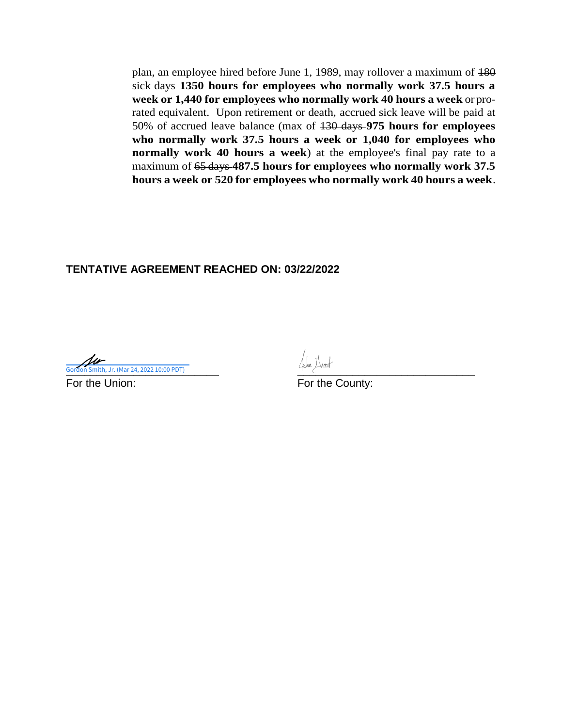plan, an employee hired before June 1, 1989, may rollover a maximum of 180 sick days **1350 hours for employees who normally work 37.5 hours a week or 1,440 for employees who normally work 40 hours a week** or prorated equivalent. Upon retirement or death, accrued sick leave will be paid at 50% of accrued leave balance (max of 130 days **975 hours for employees who normally work 37.5 hours a week or 1,040 for employees who normally work 40 hours a week**) at the employee's final pay rate to a maximum of 65 days **487.5 hours for employees who normally work 37.5 hours a week or 520 for employees who normally work 40 hours a week**.

**Cordon Smith, Jr. (Mar 24, 2022 10:00 PDT)** 2022 10:00 PDT 2022 10:00 PDT 2022 10:00 PDT 2022 10:00 PDT 2022 10:00 PDT 2022 10:00 PDT 2022 10:00 PDT 2022 10:00 PDT 2022 10:00 PDT 2022 10:00 PDT 2022 10:00 PDT 2022 10:00 P

For the Union: For the County: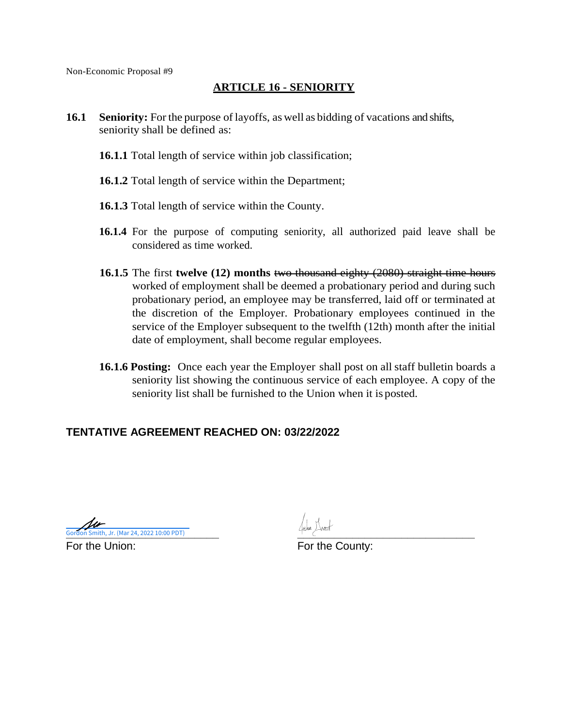# **ARTICLE 16 - SENIORITY**

- **16.1 Seniority:** For the purpose of layoffs, as well as bidding of vacations and shifts, seniority shall be defined as:
	- **16.1.1** Total length of service within job classification;
	- **16.1.2** Total length of service within the Department;
	- **16.1.3** Total length of service within the County.
	- **16.1.4** For the purpose of computing seniority, all authorized paid leave shall be considered as time worked.
	- **16.1.5** The first **twelve (12) months** two thousand eighty (2080) straight time hours worked of employment shall be deemed a probationary period and during such probationary period, an employee may be transferred, laid off or terminated at the discretion of the Employer. Probationary employees continued in the service of the Employer subsequent to the twelfth (12th) month after the initial date of employment, shall become regular employees.
	- **16.1.6** Posting: Once each year the Employer shall post on all staff bulletin boards a seniority list showing the continuous service of each employee. A copy of the seniority list shall be furnished to the Union when it is posted.

**Cordon Smith, Jr. (Mar 24, 2022 10:00 PDT)** 2022 10:00 PDT 2022 10:00 PDT 2022 10:00 PDT 2022 10:00 PDT 2022 10:00 PDT 2022 10:00 PDT 2022 10:00 PDT 2022 10:00 PDT 2022 10:00 PDT 2022 10:00 PDT 2022 10:00 PDT 2022 10:00 P For the Union: For the County: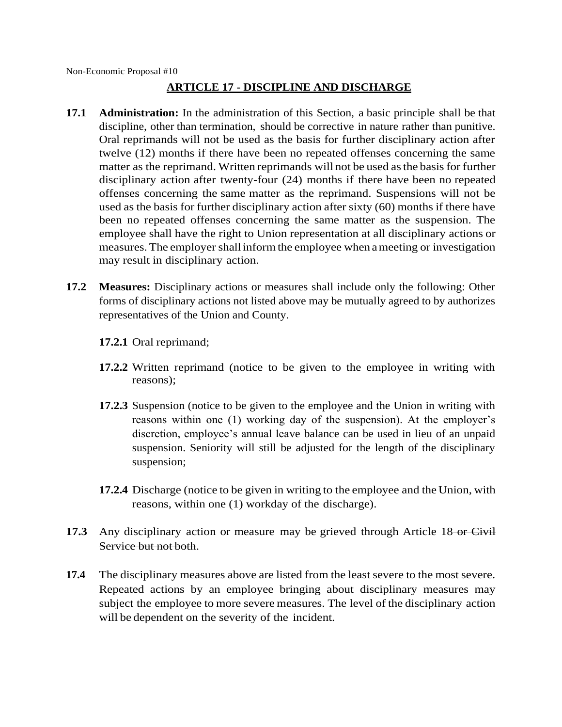# **ARTICLE 17 - DISCIPLINE AND DISCHARGE**

- **17.1 Administration:** In the administration of this Section, a basic principle shall be that discipline, other than termination, should be corrective in nature rather than punitive. Oral reprimands will not be used as the basis for further disciplinary action after twelve (12) months if there have been no repeated offenses concerning the same matter as the reprimand. Written reprimands will not be used as the basis for further disciplinary action after twenty-four (24) months if there have been no repeated offenses concerning the same matter as the reprimand. Suspensions will not be used as the basis for further disciplinary action after sixty (60) months if there have been no repeated offenses concerning the same matter as the suspension. The employee shall have the right to Union representation at all disciplinary actions or measures. The employer shall inform the employee when a meeting or investigation may result in disciplinary action.
- **17.2 Measures:** Disciplinary actions or measures shall include only the following: Other forms of disciplinary actions not listed above may be mutually agreed to by authorizes representatives of the Union and County.

**17.2.1** Oral reprimand;

- **17.2.2** Written reprimand (notice to be given to the employee in writing with reasons);
- **17.2.3** Suspension (notice to be given to the employee and the Union in writing with reasons within one (1) working day of the suspension). At the employer's discretion, employee's annual leave balance can be used in lieu of an unpaid suspension. Seniority will still be adjusted for the length of the disciplinary suspension;
- **17.2.4** Discharge (notice to be given in writing to the employee and the Union, with reasons, within one (1) workday of the discharge).
- **17.3** Any disciplinary action or measure may be grieved through Article 18-or Civil Service but not both.
- **17.4** The disciplinary measures above are listed from the least severe to the most severe. Repeated actions by an employee bringing about disciplinary measures may subject the employee to more severe measures. The level of the disciplinary action will be dependent on the severity of the incident.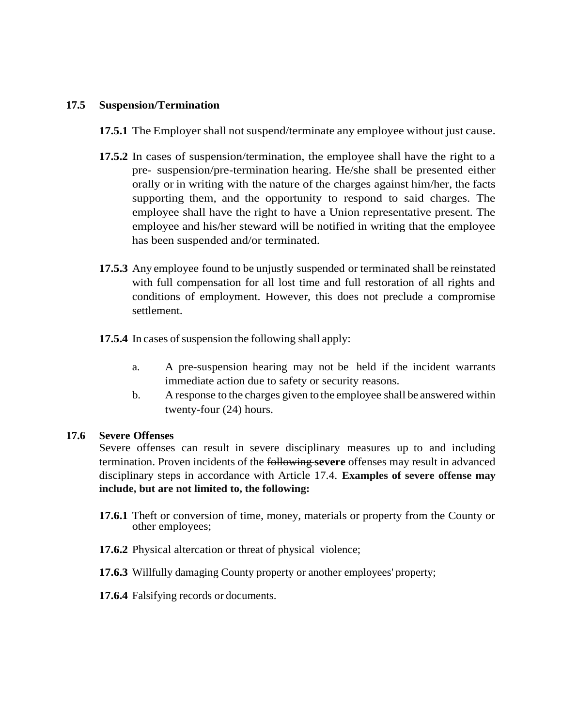#### **17.5 Suspension/Termination**

- **17.5.1** The Employer shall not suspend/terminate any employee without just cause.
- **17.5.2** In cases of suspension/termination, the employee shall have the right to a pre- suspension/pre-termination hearing. He/she shall be presented either orally or in writing with the nature of the charges against him/her, the facts supporting them, and the opportunity to respond to said charges. The employee shall have the right to have a Union representative present. The employee and his/her steward will be notified in writing that the employee has been suspended and/or terminated.
- **17.5.3** Any employee found to be unjustly suspended or terminated shall be reinstated with full compensation for all lost time and full restoration of all rights and conditions of employment. However, this does not preclude a compromise settlement.
- **17.5.4** In cases of suspension the following shall apply:
	- a. A pre-suspension hearing may not be held if the incident warrants immediate action due to safety or security reasons.
	- b. A response to the charges given to the employee shall be answered within twenty-four (24) hours.

#### **17.6 Severe Offenses**

Severe offenses can result in severe disciplinary measures up to and including termination. Proven incidents of the following **severe** offenses may result in advanced disciplinary steps in accordance with Article 17.4. **Examples of severe offense may include, but are not limited to, the following:**

- **17.6.1** Theft or conversion of time, money, materials or property from the County or other employees;
- **17.6.2** Physical altercation or threat of physical violence;
- **17.6.3** Willfully damaging County property or another employees' property;
- **17.6.4** Falsifying records or documents.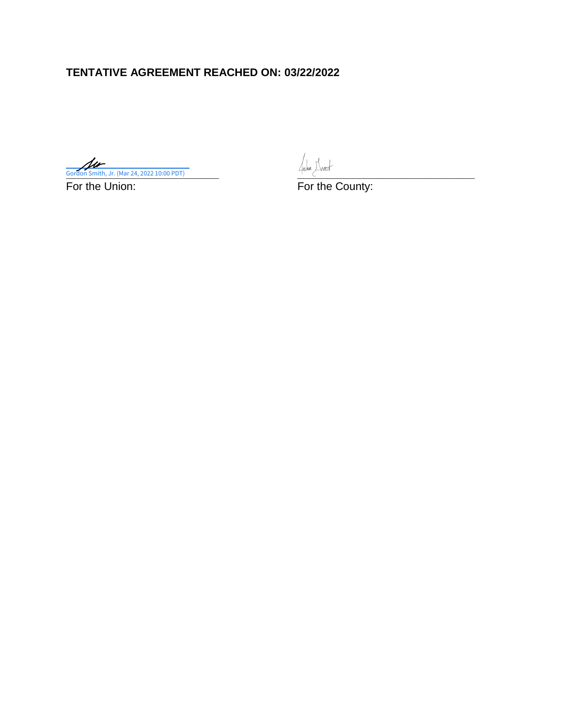**Cordon Smith, Jr. (Mar 24, 2022 10:00 PDT)** Gordon Smith, Jr. (Mar 24, 2022 10:00 PDT)

For the Union: The County: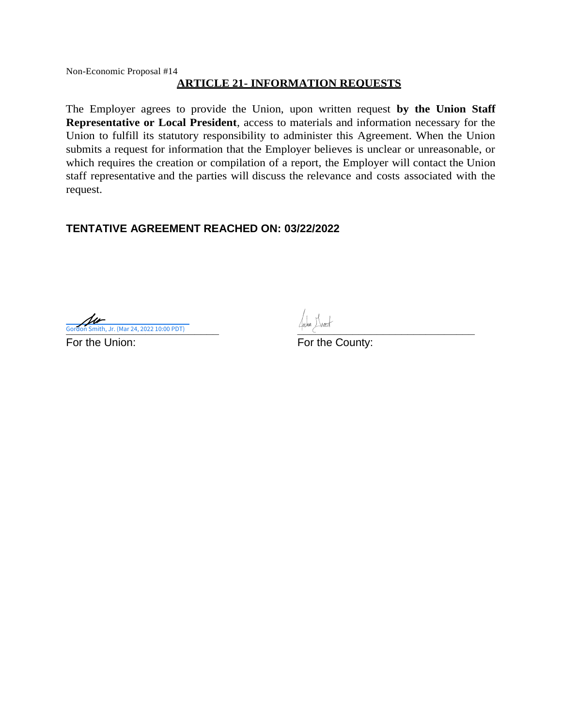#### **ARTICLE 21- INFORMATION REQUESTS**

The Employer agrees to provide the Union, upon written request **by the Union Staff Representative or Local President**, access to materials and information necessary for the Union to fulfill its statutory responsibility to administer this Agreement. When the Union submits a request for information that the Employer believes is unclear or unreasonable, or which requires the creation or compilation of a report, the Employer will contact the Union staff representative and the parties will discuss the relevance and costs associated with the request.

**Cordon Smith, Jr. (Mar 24, 2022 10:00 PDT)** th, Jr. (Mar 24, 2022 10:00 PDT)

For the Union: The County: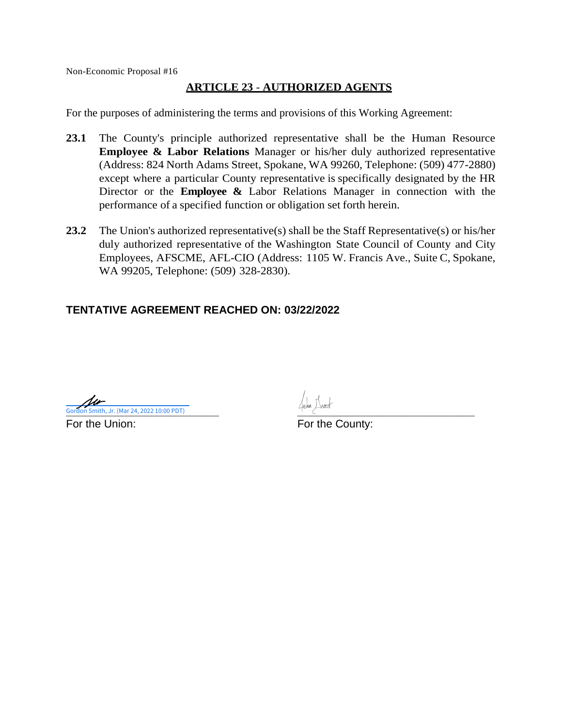#### **ARTICLE 23** - **AUTHORIZED AGENTS**

For the purposes of administering the terms and provisions of this Working Agreement:

- **23.1** The County's principle authorized representative shall be the Human Resource **Employee & Labor Relations** Manager or his/her duly authorized representative (Address: 824 North Adams Street, Spokane, WA 99260, Telephone: (509) 477-2880) except where a particular County representative is specifically designated by the HR Director or the **Employee &** Labor Relations Manager in connection with the performance of a specified function or obligation set forth herein.
- **23.2** The Union's authorized representative(s) shall be the Staff Representative(s) or his/her duly authorized representative of the Washington State Council of County and City Employees, AFSCME, AFL-CIO (Address: 1105 W. Francis Ave., Suite C, Spokane, WA 99205, Telephone: (509) 328-2830).

**Cordon Smith, Jr. (Mar 24, 2022 10:00 PDT)** 

For the Union: For the County: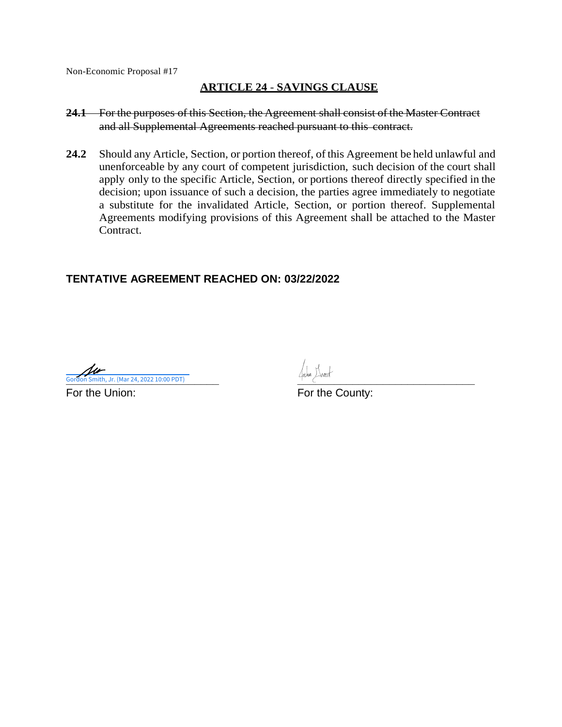#### **ARTICLE 24** - **SAVINGS CLAUSE**

- **24.1** For the purposes of this Section, the Agreement shall consist of the Master Contract and all Supplemental Agreements reached pursuant to this contract.
- 24.2 Should any Article, Section, or portion thereof, of this Agreement be held unlawful and unenforceable by any court of competent jurisdiction, such decision of the court shall apply only to the specific Article, Section, or portions thereof directly specified in the decision; upon issuance of such a decision, the parties agree immediately to negotiate a substitute for the invalidated Article, Section, or portion thereof. Supplemental Agreements modifying provisions of this Agreement shall be attached to the Master Contract.

**Cordon Smith, Jr. (Mar 24, 2022 10:00 PDT)** 

For the Union: For the County: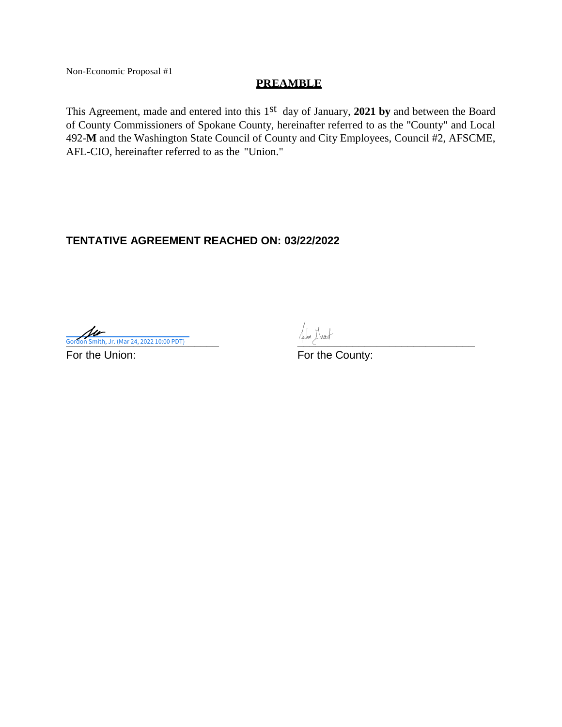#### **PREAMBLE**

This Agreement, made and entered into this 1<sup>st</sup> day of January, **2021 by** and between the Board of County Commissioners of Spokane County, hereinafter referred to as the "County" and Local 492-**M** and the Washington State Council of County and City Employees, Council #2, AFSCME, AFL-CIO, hereinafter referred to as the "Union."

# **TENTATIVE AGREEMENT REACHED ON: 03/22/2022**

**Cordon Smith, Jr. (Mar 24, 2022 10:00 PDT)** 2022 10:00 PDT 2022 10:00 PDT 2022 10:00 PDT 2022 10:00 PDT 2022 10:00 PDT 2022 10:00 PDT 2022 10:00 PDT 2022 10:00 PDT 2022 10:00 PDT 2022 10:00 PDT 2022 10:00 PDT 2022 10:00 P

For the Union: For the County: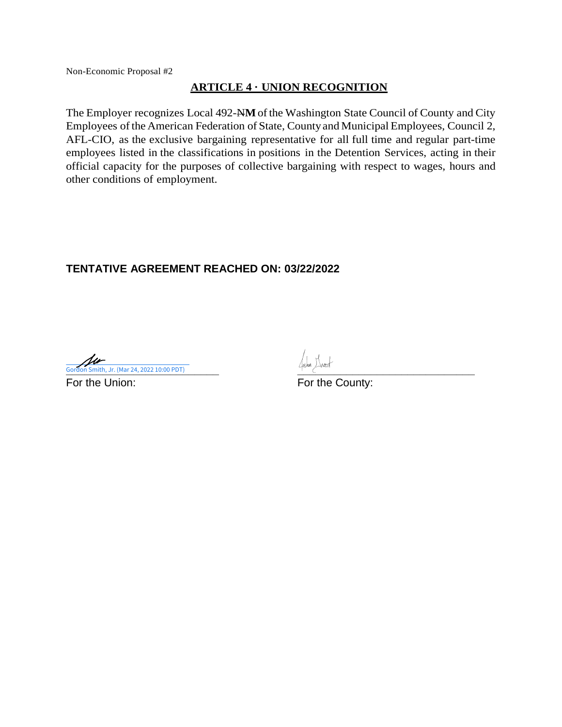#### **ARTICLE 4 · UNION RECOGNITION**

The Employer recognizes Local 492-NM of the Washington State Council of County and City Employees ofthe American Federation of State, Countyand Municipal Employees, Council 2, AFL-CIO, as the exclusive bargaining representative for all full time and regular part-time employees listed in the classifications in positions in the Detention Services, acting in their official capacity for the purposes of collective bargaining with respect to wages, hours and other conditions of employment.

**Cordon Smith, Jr. (Mar 24, 2022 10:00 PDT)** 

For the Union: For the County: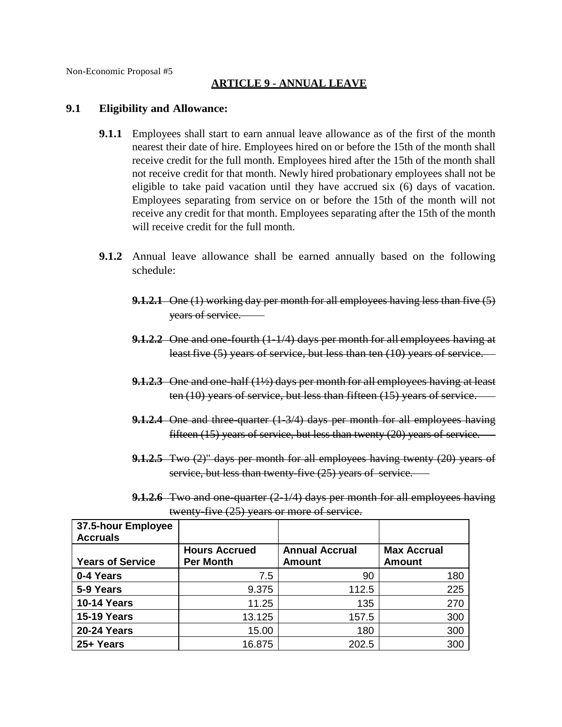# **ARTICLE 9 - ANNUAL LEAVE**

#### **9.1 Eligibility and Allowance:**

- **9.1.1** Employees shall start to earn annual leave allowance as of the first of the month nearest their date of hire. Employees hired on or before the 15th of the month shall receive credit for the full month. Employees hired after the 15th of the month shall not receive credit for that month. Newly hired probationary employees shall not be eligible to take paid vacation until they have accrued six (6) days of vacation. Employees separating from service on or before the 15th of the month will not receive any credit for that month. Employees separating after the 15th of the month will receive credit for the full month.
- **9.1.2** Annual leave allowance shall be earned annually based on the following schedule:
	- **9.1.2.1** One (1) working day per month for all employees having less than five (5) years of service.
	- **9.1.2.2** One and one-fourth (1-1/4) days per month for all employees having at least five (5) years of service, but less than ten (10) years of service.
	- **9.1.2.3** One and one-half (1½) days per month for all employees having at least ten (10) years of service, but less than fifteen (15) years of service.
	- **9.1.2.4** One and three-quarter (1-3/4) days per month for all employees having fifteen (15) years of service, but less than twenty (20) years of service.
	- **9.1.2.5** Two (2)" days per month for all employees having twenty (20) years of service, but less than twenty-five (25) years of service.
	- **9.1.2.6** Two and one-quarter (2-1/4) days per month for all employees having twenty-five (25) years or more of service.

| 37.5-hour Employee<br><b>Accruals</b> |                                          |                                        |                                     |
|---------------------------------------|------------------------------------------|----------------------------------------|-------------------------------------|
| <b>Years of Service</b>               | <b>Hours Accrued</b><br><b>Per Month</b> | <b>Annual Accrual</b><br><b>Amount</b> | <b>Max Accrual</b><br><b>Amount</b> |
| 0-4 Years                             | 7.5                                      | 90                                     | 180                                 |
| 5-9 Years                             | 9.375                                    | 112.5                                  | 225                                 |
| <b>10-14 Years</b>                    | 11.25                                    | 135                                    | 270                                 |
| <b>15-19 Years</b>                    | 13.125                                   | 157.5                                  | 300                                 |
| <b>20-24 Years</b>                    | 15.00                                    | 180                                    | 300                                 |
| 25+ Years                             | 16.875                                   | 202.5                                  | 300                                 |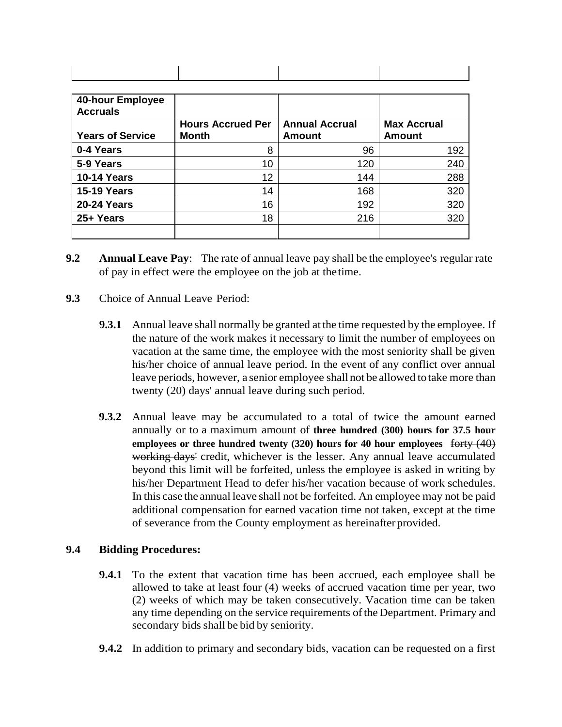| 40-hour Employee<br><b>Accruals</b> |                          |                       |                    |
|-------------------------------------|--------------------------|-----------------------|--------------------|
|                                     | <b>Hours Accrued Per</b> | <b>Annual Accrual</b> | <b>Max Accrual</b> |
| <b>Years of Service</b>             | <b>Month</b>             | <b>Amount</b>         | <b>Amount</b>      |
| 0-4 Years                           | 8                        | 96                    | 192                |
| 5-9 Years                           | 10                       | 120                   | 240                |
| <b>10-14 Years</b>                  | 12                       | 144                   | 288                |
| <b>15-19 Years</b>                  | 14                       | 168                   | 320                |
| <b>20-24 Years</b>                  | 16                       | 192                   | 320                |
| 25+ Years                           | 18                       | 216                   | 320                |
|                                     |                          |                       |                    |

- **9.2 Annual Leave Pay**: The rate of annual leave pay shall be the employee's regular rate of pay in effect were the employee on the job at thetime.
- **9.3** Choice of Annual Leave Period:
	- **9.3.1** Annual leave shall normally be granted at the time requested by the employee. If the nature of the work makes it necessary to limit the number of employees on vacation at the same time, the employee with the most seniority shall be given his/her choice of annual leave period. In the event of any conflict over annual leave periods, however, a senior employee shall not be allowed totake more than twenty (20) days' annual leave during such period.
	- **9.3.2** Annual leave may be accumulated to a total of twice the amount earned annually or to a maximum amount of **three hundred (300) hours for 37.5 hour employees or three hundred twenty (320) hours for 40 hour employees** forty (40) working days' credit, whichever is the lesser. Any annual leave accumulated beyond this limit will be forfeited, unless the employee is asked in writing by his/her Department Head to defer his/her vacation because of work schedules. In this case the annual leave shall not be forfeited. An employee may not be paid additional compensation for earned vacation time not taken, except at the time of severance from the County employment as hereinafterprovided.

#### **9.4 Bidding Procedures:**

- **9.4.1** To the extent that vacation time has been accrued, each employee shall be allowed to take at least four (4) weeks of accrued vacation time per year, two (2) weeks of which may be taken consecutively. Vacation time can be taken any time depending on the service requirements of the Department. Primary and secondary bids shall be bid by seniority.
- **9.4.2** In addition to primary and secondary bids, vacation can be requested on a first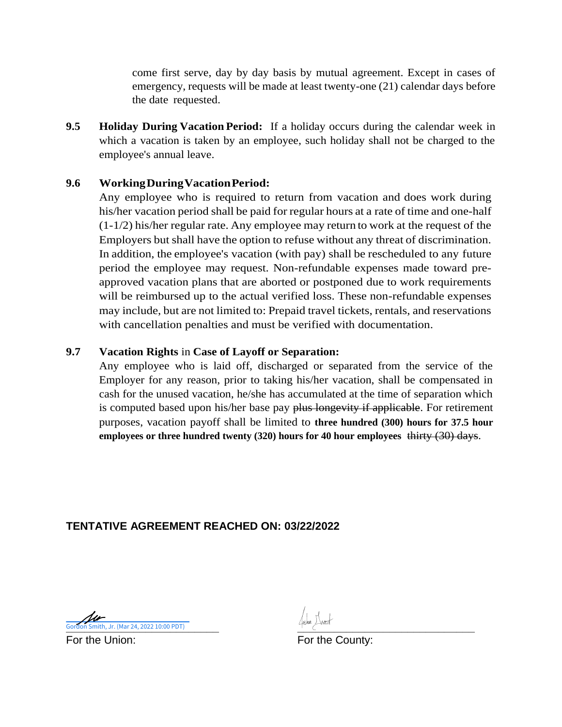come first serve, day by day basis by mutual agreement. Except in cases of emergency, requests will be made at least twenty-one (21) calendar days before the date requested.

**9.5 Holiday During Vacation Period:** If a holiday occurs during the calendar week in which a vacation is taken by an employee, such holiday shall not be charged to the employee's annual leave.

# **9.6 WorkingDuringVacationPeriod:**

Any employee who is required to return from vacation and does work during his/her vacation period shall be paid for regular hours at a rate of time and one-half (1-1/2) his/her regular rate. Any employee may return to work at the request of the Employers but shall have the option to refuse without any threat of discrimination. In addition, the employee's vacation (with pay) shall be rescheduled to any future period the employee may request. Non-refundable expenses made toward preapproved vacation plans that are aborted or postponed due to work requirements will be reimbursed up to the actual verified loss. These non-refundable expenses may include, but are not limited to: Prepaid travel tickets, rentals, and reservations with cancellation penalties and must be verified with documentation.

#### **9.7 Vacation Rights** in **Case of Layoff or Separation:**

Any employee who is laid off, discharged or separated from the service of the Employer for any reason, prior to taking his/her vacation, shall be compensated in cash for the unused vacation, he/she has accumulated at the time of separation which is computed based upon his/her base pay plus longevity if applicable. For retirement purposes, vacation payoff shall be limited to **three hundred (300) hours for 37.5 hour employees or three hundred twenty (320) hours for 40 hour employees** thirty (30) days.

# **TENTATIVE AGREEMENT REACHED ON: 03/22/2022**

**Cordon Smith, Jr. (Mar 24, 2022 10:00 PDT)** 

For the Union: The County: For the County: